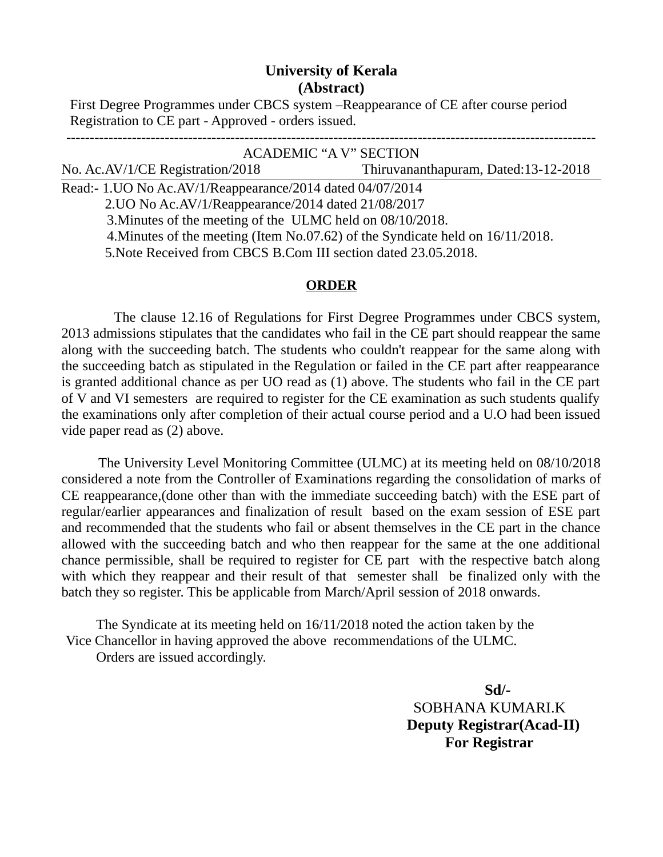## **University of Kerala (Abstract)**

 First Degree Programmes under CBCS system –Reappearance of CE after course period Registration to CE part - Approved - orders issued.

| <b>ACADEMIC "A V" SECTION</b>                                                  |                                      |
|--------------------------------------------------------------------------------|--------------------------------------|
| No. Ac.AV/1/CE Registration/2018                                               | Thiruvananthapuram, Dated:13-12-2018 |
| Read:- 1. UO No Ac. AV/1/Reappearance/2014 dated 04/07/2014                    |                                      |
| 2.UO No Ac.AV/1/Reappearance/2014 dated 21/08/2017                             |                                      |
| 3. Minutes of the meeting of the ULMC held on 08/10/2018.                      |                                      |
| 4. Minutes of the meeting (Item No.07.62) of the Syndicate held on 16/11/2018. |                                      |
| 5. Note Received from CBCS B. Com III section dated 23.05.2018.                |                                      |
|                                                                                |                                      |

## **ORDER**

 The clause 12.16 of Regulations for First Degree Programmes under CBCS system, 2013 admissions stipulates that the candidates who fail in the CE part should reappear the same along with the succeeding batch. The students who couldn't reappear for the same along with the succeeding batch as stipulated in the Regulation or failed in the CE part after reappearance is granted additional chance as per UO read as (1) above. The students who fail in the CE part of V and VI semesters are required to register for the CE examination as such students qualify the examinations only after completion of their actual course period and a U.O had been issued vide paper read as (2) above.

 The University Level Monitoring Committee (ULMC) at its meeting held on 08/10/2018 considered a note from the Controller of Examinations regarding the consolidation of marks of CE reappearance,(done other than with the immediate succeeding batch) with the ESE part of regular/earlier appearances and finalization of result based on the exam session of ESE part and recommended that the students who fail or absent themselves in the CE part in the chance allowed with the succeeding batch and who then reappear for the same at the one additional chance permissible, shall be required to register for CE part with the respective batch along with which they reappear and their result of that semester shall be finalized only with the batch they so register. This be applicable from March/April session of 2018 onwards.

 The Syndicate at its meeting held on 16/11/2018 noted the action taken by the Vice Chancellor in having approved the above recommendations of the ULMC. Orders are issued accordingly.

> **Sd/-** SOBHANA KUMARI.K **Deputy Registrar(Acad-II) For Registrar**